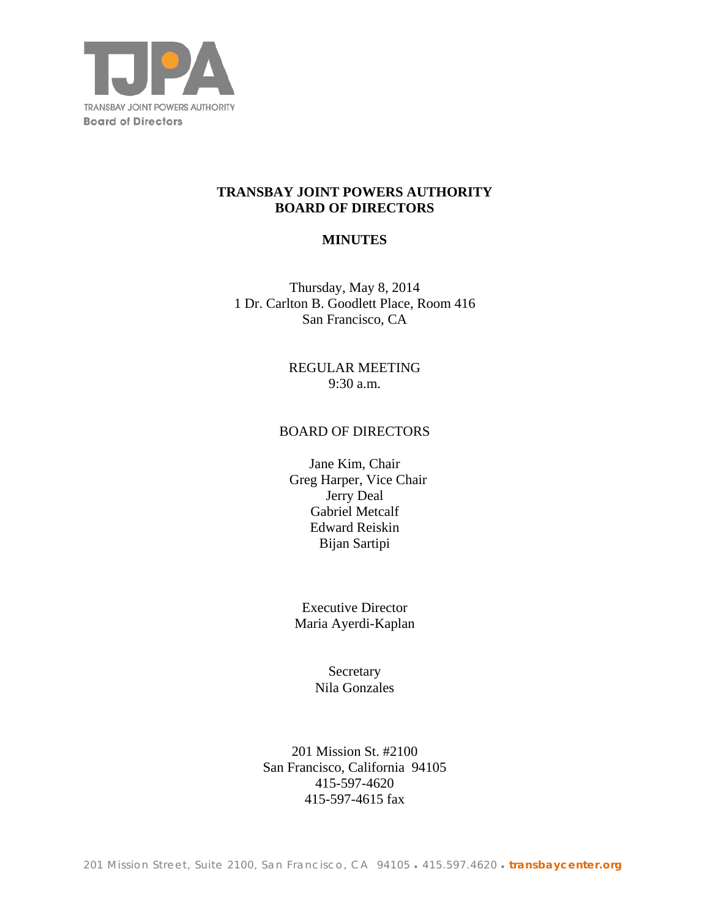

# **TRANSBAY JOINT POWERS AUTHORITY BOARD OF DIRECTORS**

# **MINUTES**

Thursday, May 8, 2014 1 Dr. Carlton B. Goodlett Place, Room 416 San Francisco, CA

> REGULAR MEETING 9:30 a.m.

#### BOARD OF DIRECTORS

Jane Kim, Chair Greg Harper, Vice Chair Jerry Deal Gabriel Metcalf Edward Reiskin Bijan Sartipi

Executive Director Maria Ayerdi-Kaplan

> **Secretary** Nila Gonzales

201 Mission St. #2100 San Francisco, California 94105 415-597-4620 415-597-4615 fax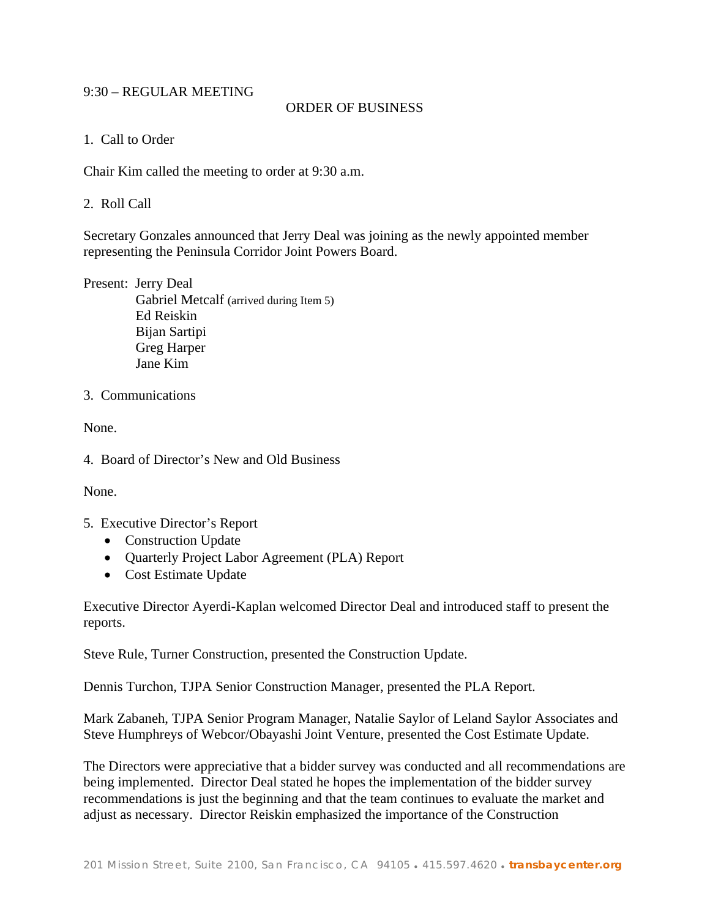# 9:30 – REGULAR MEETING

# ORDER OF BUSINESS

## 1. Call to Order

Chair Kim called the meeting to order at 9:30 a.m.

## 2. Roll Call

Secretary Gonzales announced that Jerry Deal was joining as the newly appointed member representing the Peninsula Corridor Joint Powers Board.

Present: Jerry Deal Gabriel Metcalf (arrived during Item 5) Ed Reiskin Bijan Sartipi Greg Harper Jane Kim

# 3. Communications

None.

4. Board of Director's New and Old Business

None.

- 5. Executive Director's Report
	- Construction Update
	- Quarterly Project Labor Agreement (PLA) Report
	- Cost Estimate Update

Executive Director Ayerdi-Kaplan welcomed Director Deal and introduced staff to present the reports.

Steve Rule, Turner Construction, presented the Construction Update.

Dennis Turchon, TJPA Senior Construction Manager, presented the PLA Report.

Mark Zabaneh, TJPA Senior Program Manager, Natalie Saylor of Leland Saylor Associates and Steve Humphreys of Webcor/Obayashi Joint Venture, presented the Cost Estimate Update.

The Directors were appreciative that a bidder survey was conducted and all recommendations are being implemented. Director Deal stated he hopes the implementation of the bidder survey recommendations is just the beginning and that the team continues to evaluate the market and adjust as necessary. Director Reiskin emphasized the importance of the Construction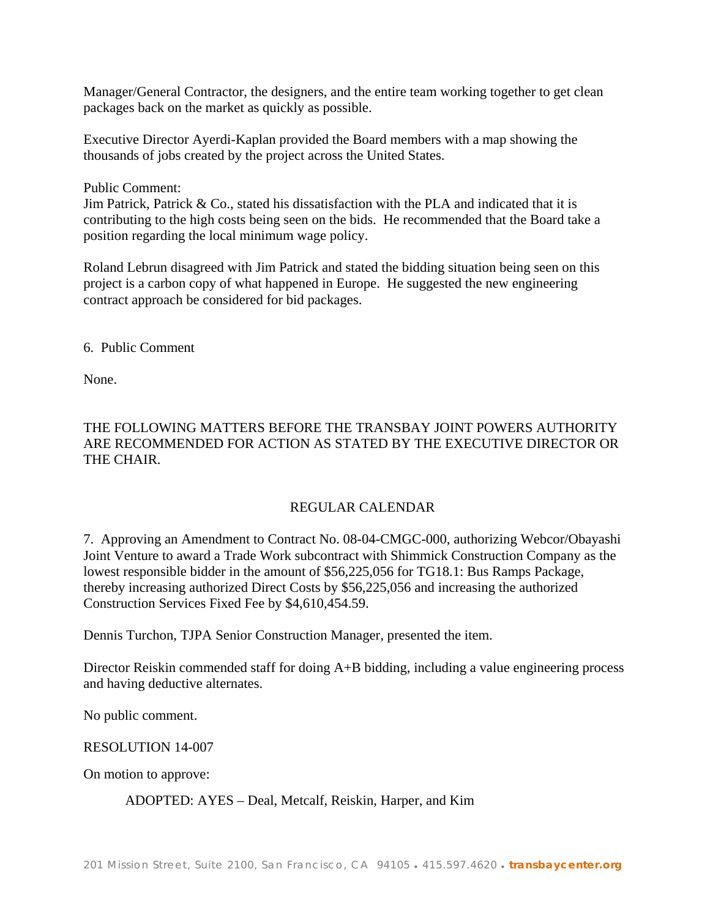Manager/General Contractor, the designers, and the entire team working together to get clean packages back on the market as quickly as possible.

Executive Director Ayerdi-Kaplan provided the Board members with a map showing the thousands of jobs created by the project across the United States.

Public Comment:

Jim Patrick, Patrick  $& Co.,$  stated his dissatisfaction with the PLA and indicated that it is contributing to the high costs being seen on the bids. He recommended that the Board take a position regarding the local minimum wage policy.

Roland Lebrun disagreed with Jim Patrick and stated the bidding situation being seen on this project is a carbon copy of what happened in Europe. He suggested the new engineering contract approach be considered for bid packages.

6. Public Comment

None.

# THE FOLLOWING MATTERS BEFORE THE TRANSBAY JOINT POWERS AUTHORITY ARE RECOMMENDED FOR ACTION AS STATED BY THE EXECUTIVE DIRECTOR OR THE CHAIR.

# REGULAR CALENDAR

7. Approving an Amendment to Contract No. 08-04-CMGC-000, authorizing Webcor/Obayashi Joint Venture to award a Trade Work subcontract with Shimmick Construction Company as the lowest responsible bidder in the amount of \$56,225,056 for TG18.1: Bus Ramps Package, thereby increasing authorized Direct Costs by \$56,225,056 and increasing the authorized Construction Services Fixed Fee by \$4,610,454.59.

Dennis Turchon, TJPA Senior Construction Manager, presented the item.

Director Reiskin commended staff for doing A+B bidding, including a value engineering process and having deductive alternates.

No public comment.

#### RESOLUTION 14-007

On motion to approve:

ADOPTED: AYES – Deal, Metcalf, Reiskin, Harper, and Kim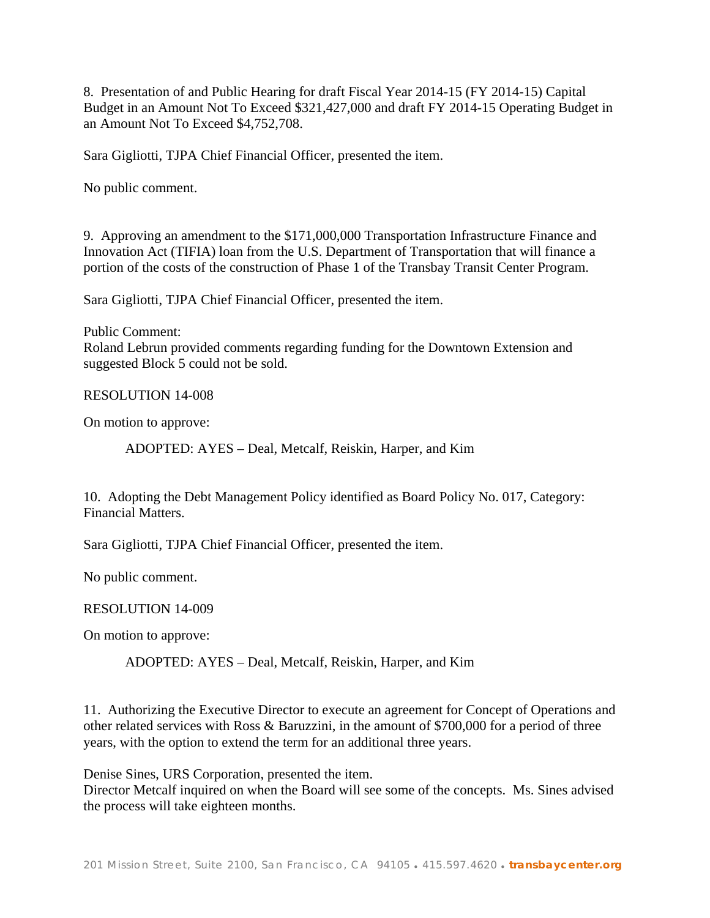8. Presentation of and Public Hearing for draft Fiscal Year 2014-15 (FY 2014-15) Capital Budget in an Amount Not To Exceed \$321,427,000 and draft FY 2014-15 Operating Budget in an Amount Not To Exceed \$4,752,708.

Sara Gigliotti, TJPA Chief Financial Officer, presented the item.

No public comment.

9. Approving an amendment to the \$171,000,000 Transportation Infrastructure Finance and Innovation Act (TIFIA) loan from the U.S. Department of Transportation that will finance a portion of the costs of the construction of Phase 1 of the Transbay Transit Center Program.

Sara Gigliotti, TJPA Chief Financial Officer, presented the item.

Public Comment: Roland Lebrun provided comments regarding funding for the Downtown Extension and suggested Block 5 could not be sold.

RESOLUTION 14-008

On motion to approve:

ADOPTED: AYES – Deal, Metcalf, Reiskin, Harper, and Kim

10. Adopting the Debt Management Policy identified as Board Policy No. 017, Category: Financial Matters.

Sara Gigliotti, TJPA Chief Financial Officer, presented the item.

No public comment.

#### RESOLUTION 14-009

On motion to approve:

ADOPTED: AYES – Deal, Metcalf, Reiskin, Harper, and Kim

11. Authorizing the Executive Director to execute an agreement for Concept of Operations and other related services with Ross & Baruzzini, in the amount of \$700,000 for a period of three years, with the option to extend the term for an additional three years.

Denise Sines, URS Corporation, presented the item.

Director Metcalf inquired on when the Board will see some of the concepts. Ms. Sines advised the process will take eighteen months.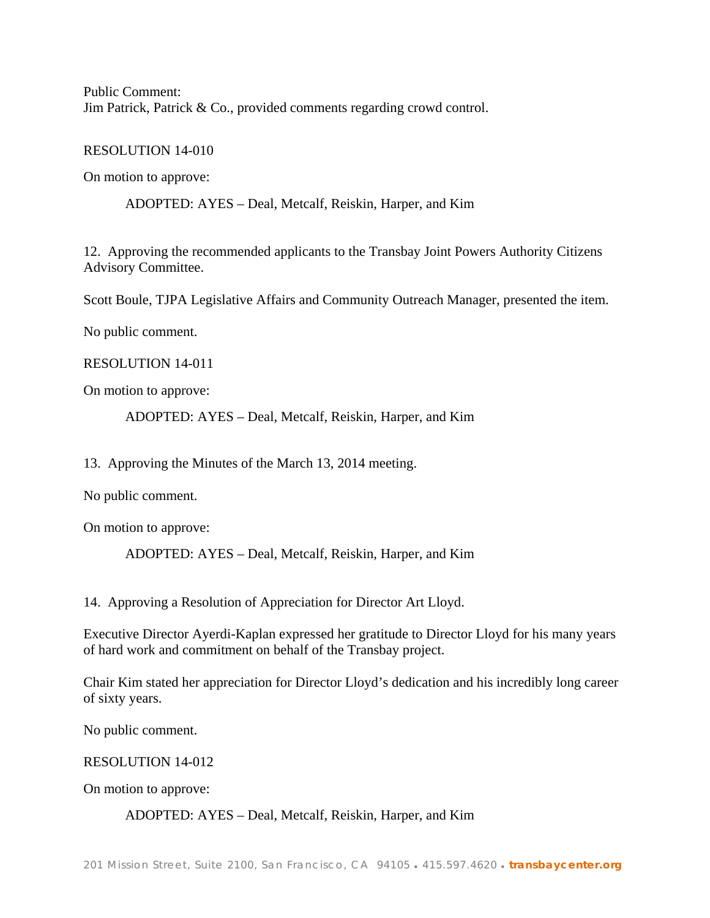Public Comment: Jim Patrick, Patrick & Co., provided comments regarding crowd control.

RESOLUTION 14-010

On motion to approve:

ADOPTED: AYES – Deal, Metcalf, Reiskin, Harper, and Kim

12. Approving the recommended applicants to the Transbay Joint Powers Authority Citizens Advisory Committee.

Scott Boule, TJPA Legislative Affairs and Community Outreach Manager, presented the item.

No public comment.

RESOLUTION 14-011

On motion to approve:

ADOPTED: AYES – Deal, Metcalf, Reiskin, Harper, and Kim

13. Approving the Minutes of the March 13, 2014 meeting.

No public comment.

On motion to approve:

ADOPTED: AYES – Deal, Metcalf, Reiskin, Harper, and Kim

14. Approving a Resolution of Appreciation for Director Art Lloyd.

Executive Director Ayerdi-Kaplan expressed her gratitude to Director Lloyd for his many years of hard work and commitment on behalf of the Transbay project.

Chair Kim stated her appreciation for Director Lloyd's dedication and his incredibly long career of sixty years.

No public comment.

RESOLUTION 14-012

On motion to approve:

ADOPTED: AYES – Deal, Metcalf, Reiskin, Harper, and Kim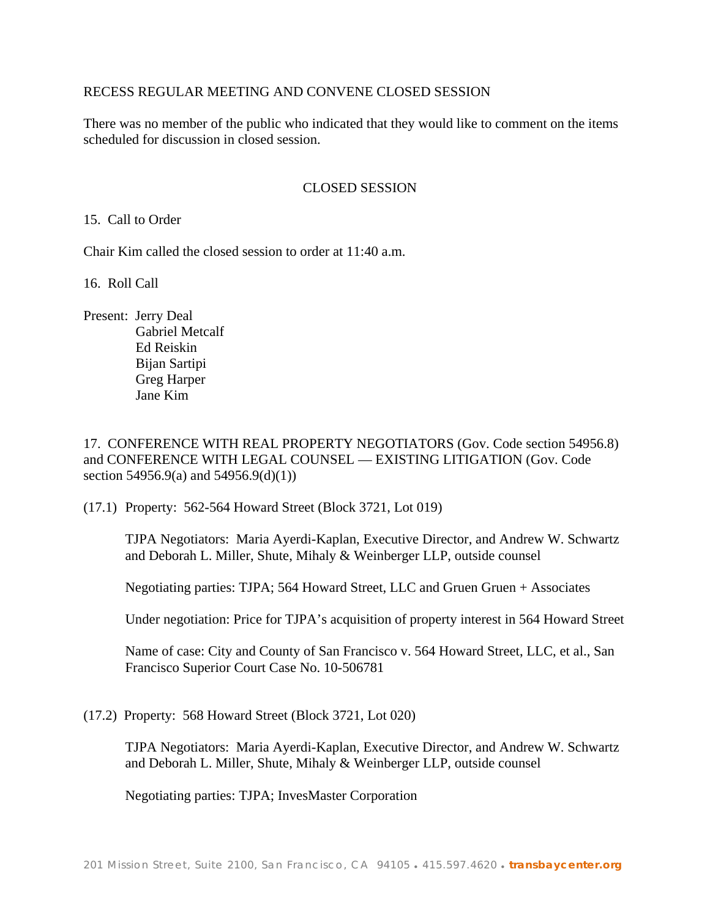# RECESS REGULAR MEETING AND CONVENE CLOSED SESSION

There was no member of the public who indicated that they would like to comment on the items scheduled for discussion in closed session.

## CLOSED SESSION

15. Call to Order

Chair Kim called the closed session to order at 11:40 a.m.

16. Roll Call

Present: Jerry Deal Gabriel Metcalf Ed Reiskin Bijan Sartipi Greg Harper Jane Kim

17. CONFERENCE WITH REAL PROPERTY NEGOTIATORS (Gov. Code section 54956.8) and CONFERENCE WITH LEGAL COUNSEL — EXISTING LITIGATION (Gov. Code section 54956.9(a) and 54956.9(d)(1))

(17.1) Property: 562-564 Howard Street (Block 3721, Lot 019)

TJPA Negotiators: Maria Ayerdi-Kaplan, Executive Director, and Andrew W. Schwartz and Deborah L. Miller, Shute, Mihaly & Weinberger LLP, outside counsel

Negotiating parties: TJPA; 564 Howard Street, LLC and Gruen Gruen + Associates

Under negotiation: Price for TJPA's acquisition of property interest in 564 Howard Street

Name of case: City and County of San Francisco v. 564 Howard Street, LLC, et al., San Francisco Superior Court Case No. 10-506781

(17.2) Property: 568 Howard Street (Block 3721, Lot 020)

TJPA Negotiators: Maria Ayerdi-Kaplan, Executive Director, and Andrew W. Schwartz and Deborah L. Miller, Shute, Mihaly & Weinberger LLP, outside counsel

Negotiating parties: TJPA; InvesMaster Corporation